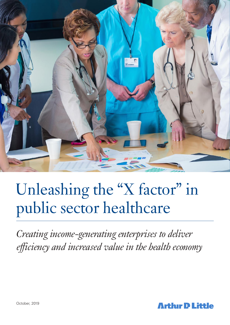

# Unleashing the "X factor" in public sector healthcare

*Creating income-generating enterprises to deliver efficiency and increased value in the health economy*

**Arthir D Little**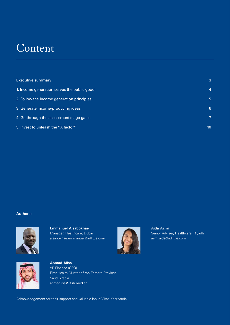### **Content**

| <b>Executive summary</b>                    |    |
|---------------------------------------------|----|
| 1. Income generation serves the public good | 4  |
| 2. Follow the income generation principles  | 5  |
| 3. Generate income-producing ideas          | 6  |
| 4. Go through the assessment stage gates    |    |
| 5. Invest to unleash the "X factor"         | 10 |

#### **Authors:**



**Emmanuel Aisabokhae** Manager, Healthcare, Dubai aisabokhae.emmanuel@adlittle.com



**Aida Azmi** Senior Adviser, Healthcare, Riyadh azmi.aida@adlittle.com



**Ahmad Alisa** VP Finance (CFO) First Health Cluster of the Eastern Province, Saudi Arabia ahmad.isa@kfsh.med.sa

Acknowledgement for their support and valuable input: Vikas Kharbanda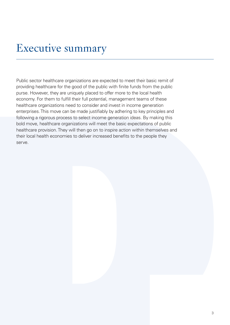## Executive summary

Public sector healthcare organizations are expected to meet their basic remit of providing healthcare for the good of the public with finite funds from the public purse. However, they are uniquely placed to offer more to the local health economy. For them to fulfill their full potential, management teams of these healthcare organizations need to consider and invest in income generation enterprises. This move can be made justifiably by adhering to key principles and following a rigorous process to select income generation ideas. By making this bold move, healthcare organizations will meet the basic expectations of public healthcare provision. They will then go on to inspire action within themselves and their local health economies to deliver increased benefits to the people they serve.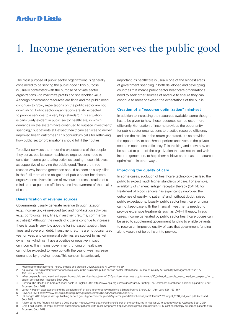### **Arthur D Little**

## 1. Income generation serves the public good

The main purpose of public sector organizations is generally considered to be serving the public good.1 This purpose is usually contrasted with the purpose of private sector organizations – to maximize profits and shareholder value.2 Although government resources are finite and the public need continues to grow, expectations on the public sector are not diminishing. Public sector organizations are still expected to provide services to a very high standard.<sup>3</sup> This situation is particularly evident in public sector healthcare, in which demands on the system have continued to outpace investment/ spending,<sup>4</sup> but patients still expect healthcare services to deliver improved health outcomes.5 This conundrum calls for rethinking how public sector organizations should fulfill their duties.

To deliver services that meet the expectations of the people they serve, public sector healthcare organizations need to consider income-generating activities, seeing these initiatives as supportive of serving the public good. There are three reasons why income generation should be seen as a key pillar in the fulfillment of the obligation of public sector healthcare organizations; diversification of revenue sources, creation of a mind-set that pursues efficiency, and improvement of the quality of care.

#### **Diversification of revenue sources**

Governments usually generate revenue through taxation (e.g., income tax, value-added tax) and non-taxation activities (e.g., borrowing, fees, fines, investment returns, commercial activities).<sup>6</sup> Although the needs of citizens continue to increase, there is usually very low appetite for increased taxation, fees, fines and sovereign debt. Investment returns are not guaranteed year on year, and commercial activities are subject to market dynamics, which can have a positive or negative impact on income. This means government funding of healthcare cannot be expected to keep up with the year-on-year increase demanded by growing needs. This concern is particularly

important, as healthcare is usually one of the biggest areas of government spending in both developed and developing countries.<sup>78</sup> It means public sector healthcare organizations need to seek other sources of revenue to ensure they can continue to meet or exceed the expectations of the public.

#### **Creation of a "resource optimization" mind-set**

In addition to increasing the resources available, some thought has to be given to how those resources can be used more efficiently. Generation of income provides the opportunity for public sector organizations to practice resource efficiency and see the results in the return generated. It also provides the opportunity to benchmark performance versus the private sector in operational efficiency. This thinking and know-how can be spread to parts of the organization that are not tasked with income generation, to help them achieve and measure resource optimization in other ways.

#### **Improving the quality of care**

In some cases, evolution of healthcare technology can lead the public to expect much higher standards of care. For example, availability of chimeric antigen receptor therapy (CAR-T) for treatment of blood cancers has significantly improved the outcomes of qualifying patients<sup>9</sup> and, without doubt, raised public expectations. Usually, public sector healthcare funding cannot keep pace with the financial investments needed to provide expensive treatments such as CAR-T therapy. In such cases, income generated by public sector healthcare bodies can be used to supplement government funding to enable patients to receive an improved quality of care that government funding alone would not be sufficient to provide.

<sup>1</sup> Public sector management Theory, critique and practice D McKevitt and A Lawton Pg 59<br>2 Agus et al. An exploratory study of service quality in the Malaysian public service sector

Agus et al. An exploratory study of service quality in the Malaysian public service sector International Journal of Quality & Reliability Management 24(2):177-190 February 2007

<sup>3</sup> What do people want, need and expect from public services http://www.2020publicservicestrust.org/downloads/30\_What\_do\_people\_want\_need\_and\_expect\_from\_ public\_services.pdf Accessed Sept 2019

<sup>4</sup> Briefing:The Health and Care of Older People in England 2015 http://www.cpa.org.uk/cpa/docs/AgeUK-Briefing-TheHealthandCareofOlderPeopleinEngland-2015.pdf Accessed Sept 2019

<sup>5</sup> Lateef F. Patient expectations and the paradigm shift of care in emergency medicine J Emerg Trauma Shock. 2011 Apr–Jun; 4(2): 163–167

<sup>6</sup> Revenue (IMF) https://www.imf.org/external/pubs/ft/gfs/manual/pdf/ch5.pdf Accessed Sept 2019

<sup>7</sup> UK budget 2018 https://assets.publishing.service.gov.uk/government/uploads/system/uploads/attachment\_data/file/752202/Budget\_2018\_red\_web.pdf Accessed Sept 2019

<sup>8</sup> A look at the key figures in Nigeria's 2019 budget https://www.pulse.ng/bi/finance/a-look-at-the-key-figures-in-nigerias-2019-budget/vi8pvgs Accessed Sept 2019

<sup>9</sup> CAR-T cell update:Therapy improves outcomes for patients with B-cell lymphoma https://medicalxpress.com/news/2018-12-car-t-cell-therapy-outcomes-patients.html Accessed Sept 2019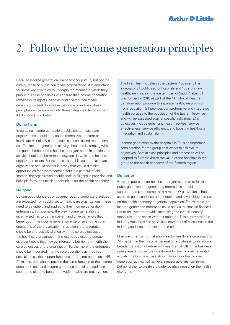## 2. Follow the income generation principles

Because income generation is a necessary pursuit, but not the core purpose of public healthcare organizations, it is important for some key principles to underpin the manner in which they pursue it. These principles will ensure that income generation remains in its rightful place as public sector healthcare organizations seek to achieve their core objectives. These principles can be grouped into three categories: (a) do no harm (b) do good (c) do better.

#### **Do no harm**

In pursuing income generation, public sector healthcare organizations should not expose themselves to harm or inordinate risk of any nature, such as financial and reputational risk. The income generation activity should be in keeping with the general ethos of the healthcare organization. In addition, the activity should not harm the ecosystem in which the healthcare organization exists. For example, the public sector healthcare organization should not act in a way that would diminish opportunities for private sector actors in a particular field. Instead, the organization should seek to fill gaps in provision and build platforms to unlock opportunities for the health economy.

#### **Do good**

Certain good standards of governance and corporate practices are expected from public sector healthcare organizations. These need to be upheld and applied to their income generation enterprises. For example, the way income generation is incentivized has to be transparent and drive behaviors that benefit both the income generation enterprise and the core operations of the organization. In addition, the enterprise should be strategically aligned with the core objectives of the healthcare organization. It must not be used to pursue divergent goals that may be interesting but do not fit with the core objectives of the organization. Furthermore, the enterprise should be integrated into the core operations as much as possible; e.g., the support functions of the core operations (HR, IT, finance, etc.) should provide the same function to the income generation unit, and income generated should be used (and seen to be used) to benefit the wider healthcare organization.

The First Health cluster in the Eastern Province (E1) is a group of 21 public sector hospitals and 130+ primary healthcare clinics in the eastern part of Saudi Arabia. E1 was formed in 2018 as part of the Ministry of Health's transformation program to separate healthcare provision from regulation. E1 provides comprehensive and integrated health services to the population of the Eastern Province and will be assessed against specific indicators. E1's objectives include enhancing health facilities, service effectiveness, service efficiency, and boosting healthcare integration and sustainability.

Income generation by the hospitals in E1 is an important consideration for the group as it works to achieve its objectives. Best-in-class principles and processes will be adopted to fully maximize the value of the hospitals in the group to the health economy of the Eastern region.

#### **Do better**

Because public sector healthcare organizations exist for the public good, income-generating enterprises should not be content to stop at income maximization. Organizations should aspire to go beyond income generation and have a bigger impact on the health economy or general population. For example, an income generation enterprise could seek a reasonable financial return on investment while increasing the overall industry standards in the space where it operates. This improvement in industry standards can serve as a new mark of excellence in the industry and inspire others in the market.

One way of ensuring that public sector healthcare organizations "do better" in their income generation activities is to insist on a broader definition of return on investment (ROI) in the business case prepared to secure investment for the income generation activity. The business case should show how the income generation activity will achieve a reasonable financial return but go further to create a broader positive impact on the health economy.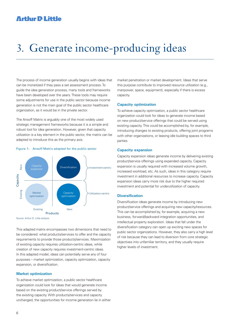### **Arthur D Little**

## 3. Generate income-producing ideas

The process of income generation usually begins with ideas that can be monetized if they pass a set assessment process. To guide the idea generation process, many tools and frameworks have been developed over the years. These tools may require some adjustments for use in the public sector because income generation is not the main goal of the public sector healthcare organization, as it would be in the private sector.

The Ansoff Matrix is arguably one of the most widely used strategic management frameworks because it is a simple and robust tool for idea generation. However, given that capacity utilization is a key element in the public sector, the matrix can be adapted to introduce this as the primary axis.



Figure 1: Ansoff Matrix adapted for the public sector

Source: Arthur D. Little analysis

This adapted matrix encompasses two dimensions that need to be considered: what products/services to offer and the capacity requirements to provide those products/services. Maximization of existing capacity requires utilization-centric ideas, while creation of new capacity requires investment-centric ideas. In this adapted model, ideas can potentially serve any of four purposes – market optimization, capacity optimization, capacity expansion, or diversification.

#### **Market optimization**

To achieve market optimization, a public sector healthcare organization could look for ideas that would generate income based on the existing product/service offerings served by the existing capacity. With products/services and capacity unchanged, the opportunities for income generation lie in either market penetration or market development. Ideas that serve this purpose contribute to improved resource utilization (e.g., manpower, space, equipment), especially if there is excess capacity.

#### **Capacity optimization**

To achieve capacity optimization, a public sector healthcare organization could look for ideas to generate income based on new product/service offerings that could be served using existing capacity. This could be accomplished by, for example, introducing changes to existing products, offering joint programs with other organizations, or leasing idle building spaces to third parties.

#### **Capacity expansion**

Capacity expansion ideas generate income by delivering existing product/service offerings using expanded capacity. Capacity expansion is usually required with increased volume growth, increased workload, etc. As such, ideas in this category require investment in additional resources to increase capacity. Capacity expansion ideas carry more risk due to the higher required investment and potential for underutilization of capacity.

#### **Diversification**

Diversification ideas generate income by introducing new product/service offerings and acquiring new capacity/resources. This can be accomplished by, for example, acquiring a new business, forward/backward integration opportunities, and intellectual property exploration. Ideas that fall under the diversification category can open up exciting new spaces for public sector organizations. However, they also carry a high level of risk because they can lead to diversion from core strategic objectives into unfamiliar territory, and they usually require higher levels of investment.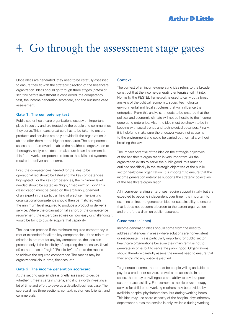## 4. Go through the assessment stage gates

Once ideas are generated, they need to be carefully assessed to ensure they fit with the strategic direction of the healthcare organization. Ideas should go through three stages (gates) of scrutiny before investment is considered: the competency test, the income generation scorecard, and the business case assessment.

#### **Gate 1: The competency test**

Public sector healthcare organizations occupy an important place in society and are trusted by the people and communities they serve. This means great care has to be taken to ensure products and services are only provided if the organization is able to offer them at the highest standards. The competence assessment framework enables the healthcare organization to thoroughly analyze an idea to make sure it can implement it. In this framework, competence refers to the skills and systems required to deliver an outcome.

First, the competencies needed for the idea to be operationalized should be listed and the key competencies highlighted. For the key competencies, the minimum level needed should be stated as "high", "medium" or "low". This classification must be based on the arbitrary judgement of an expert in the particular field of practice. The existing organizational competence should then be matched with the minimum level required to produce a product or deliver a service. Where the organization falls short of the competence requirement, the expert can advise on how easy or challenging it would be for it to quickly acquire that capability.

The idea can proceed if the minimum required competency is met or exceeded for all the key competencies. If the minimum criterion is not met for any key competence, the idea can proceed only if the feasibility of acquiring the necessary (level of) competence is "high". "Feasibility" refers to the means to achieve the required competence. The means may be organizational clout, time, finances, etc.

#### **Gate 2: The income generation scorecard**

At the second gate an idea is briefly assessed to decide whether it meets certain criteria, and if it is worth investing a lot of time and effort to develop a detailed business case. The scorecard has three sections: context, customers (clients), and commercials.

#### **Context**

The context of an income-generating idea refers to the broader construct that the income-generating enterprise will fit into. Normally, the PESTEL framework is used to carry out a broad analysis of the political, economic, social, technological, environmental and legal structures that will influence the enterprise. From this analysis, it needs to be ensured that the political and economic climate will not be hostile to the incomegenerating enterprise. Also, the idea must be shown to be in keeping with social trends and technological advances. Finally, it is helpful to make sure the endeavor would not cause harm to the environment and could be carried out normally, without breaking the law.

The impact potential of the idea on the strategic objectives of the healthcare organization is very important. As the organization exists to serve the public good, this must be outlined specifically in the strategic objectives of the public sector healthcare organization. It is important to ensure that the income generation enterprise supports the strategic objectives of the healthcare organization.

All income-generating enterprises require support initially but are expected to become independent over time. It is important to examine an income generation idea for sustainability to ensure that it does not become a burden to the parent organization – and therefore a drain on public resources.

#### Customers (clients)

Income generation ideas should come from the need to address challenges in areas where solutions are non-existent or inadequate. This is particularly important for public sector healthcare organizations because their main remit is not to generate income, but to serve the public good. Organizations should therefore carefully assess the unmet need to ensure that their entry into any space is justified.

To generate income, there must be people willing and able to pay for a product or service, as well as to access it. In some cases, there may be willingness and ability to pay, but poor customer accessibility. For example, a mobile physiotherapy service for children of working mothers may be provided by available hospital physiotherapists, but during working hours. This idea may use spare capacity of the hospital physiotherapy department but as the service is only available during working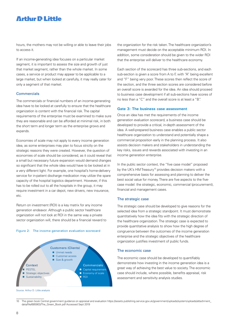### **Arthir D Little**

hours, the mothers may not be willing or able to leave their jobs to access it.

If an income-generating idea focuses on a particular market segment, it is important to assess the size and growth of just that market segment, rather than the whole market. In some cases, a service or product may appear to be applicable to a large market, but when looked at carefully, it may really cater for only a segment of that market.

#### **Commercials**

The commercials or financial numbers of an income-generating idea have to be looked at carefully to ensure that the healthcare organization is content with the financial risk. The capital requirements of the enterprise must be examined to make sure they are reasonable and can be afforded at minimal risk, in both the short term and longer term as the enterprise grows and expands.

Economies of scale may not apply to every income generation idea, as some enterprises may plan to focus strictly on the strategic reasons they were created. However, the question of economies of scale should be considered, as it could reveal that a small but necessary future expansion would demand changes so significant that the whole idea would have to be looked at in a very different light. For example, one hospital's home-delivery service for in-patient discharge medication may utilize the spare capacity of the hospital logistics department. However, if this has to be rolled out to all the hospitals in the group, it may require investment in a car depot, new drivers, new insurance, etc.

Return on investment (ROI) is a key matrix for any income generation endeavor. Although a public sector healthcare organization will not look at ROI in the same way a private sector organization will, there should be a financial reward to

#### Figure 2: The income generation evaluation scorecard



Source: Arthur D. Little analysis

the organization for the risk taken.The healthcare organization's management must decide on the acceptable minimum ROI. In addition, some consideration should be given to the wider ROI that the enterprise will deliver to the healthcare economy.

Each section of the scorecard has three sub-sections, and each sub-section is given a score from A to F, with "A" being excellent and "F" being very poor. These scores then reflect the score of the section, and the three section scores are considered before an overall score is awarded for the idea. An idea should proceed to business case development if all sub-sections have scores of no less than a "C" and the overall score is at least a "B".

#### **Gate 3: The business case assessment**

Once an idea has met the requirements of the income generation evaluation scorecard, a business case should be developed to provide a critical, in-depth assessment of the idea. A well-prepared business case enables a public sector healthcare organization to understand and potentially shape a commercial proposition early in the planning process. It also assists decision makers and stakeholders in understanding the key risks, issues and rewards associated with investing in an income generation enterprise.

In the public sector context, the "five case model" proposed by the UK's HM Treasury<sup>10</sup> provides decision makers with a comprehensive basis for assessing and planning to deliver the best social value for money. There are five aspects to the fivecase model: the strategic, economic, commercial (procurement), financial and management cases.

#### The strategic case

The strategic case should be developed to give reasons for the selected idea from a strategic standpoint. It must demonstrate quantitatively how the idea fits with the strategic direction of the healthcare organization. The strategic case is expected to provide quantitative analysis to show how the high degree of congruence between the outcomes of the income generation enterprise and the strategic objectives of the healthcare organization justifies investment of public funds.

#### The economic case

The economic case should be developed to quantifiably demonstrate how investing in the income generation idea is a great way of achieving the best value to society. The economic case should include, where possible, benefits appraisal, risk assessment and sensitivity analysis studies.

<sup>10</sup> The green book Central government guidance on appraisal and evaluation https://assets.publishing.service.gov.uk/government/uploads/system/uploads/attachment\_ data/file/685903/The\_Green\_Book.pdf Accessed Sept 2019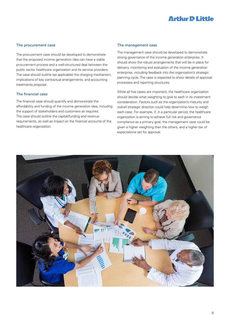### **Arthir D Little**

#### The procurement case

The procurement case should be developed to demonstrate that the proposed income generation idea can have a viable procurement process and a well-structured deal between the public sector healthcare organization and its service providers. The case should outline (as applicable) the charging mechanism, implications of key contractual arrangements, and accounting treatments proposal.

#### The financial case

The financial case should quantify and demonstrate the affordability and funding of the income generation idea, including the support of stakeholders and customers as required. The case should outline the capital/funding and revenue requirements, as well as impact on the financial accounts of the healthcare organization.

#### The management case

The management case should be developed to demonstrate strong governance of the income generation enterprise. It should show the robust arrangements that will be in place for delivery, monitoring and evaluation of the income generation enterprise, including feedback into the organization's strategic planning cycle. The case is expected to show details of approval processes and reporting structures.

While all five cases are important, the healthcare organization should decide what weighting to give to each in its investment consideration. Factors such as the organization's maturity and overall strategic direction could help determine how to weigh each case. For example, if, in a particular period, the healthcare organization is aiming to achieve full risk and governance compliance as a primary goal, the management case could be given a higher weighting than the others, and a higher bar of expectations set for approval.

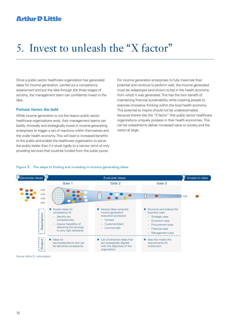### **Arthur D Little**

## 5. Invest to unleash the "X factor"

Once a public sector healthcare organization has generated ideas for income generation, carried out a competency assessment and put the idea through the three stages of scrutiny, the management team can confidently invest in the idea.

#### **Fortune favors the bold**

While income generation is not the reason public sector healthcare organizations exist, their management teams can boldly, shrewdly and strategically invest in income-generating enterprises to trigger a set of reactions within themselves and the wider health economy. This will lead to increased benefits to the public and enable the healthcare organization to serve the public better than if it stuck rigidly to a narrow remit of only providing services that could be funded from the public purse.

For income generation enterprises to fully maximize their potential and continue to perform well, the income generated must be redeployed (and shown to be) in the health economy from which it was generated. This has the twin benefit of maintaining financial sustainability while inspiring people to exercise innovative thinking within the local health economy. This potential to inspire should not be underestimated, because therein lies the "X factor" that public sector healthcare organizations uniquely possess in their health economies. This can be unleashed to deliver increased value to society and the nation at large.

#### Figure 3: The steps to finding and investing in income-generating ideas



Source: Arthur D. Little analysis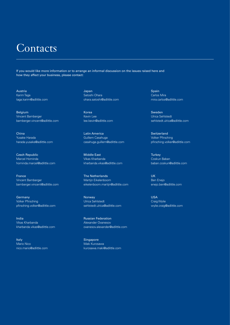### **Contacts**

If you would like more information or to arrange an informal discussion on the issues raised here and how they affect your business, please contact:

Austria Karim Taga taga.karim@adlittle.com

Belgium Vincent Bamberger bamberger.vincent@adlittle.com

China Yusake Harada harada.yusake@adlittle.com

Czech Republic Marcel Hominda hominda.marcel@adlittle.com

France Vincent Bamberger bamberger.vincent@adlittle.com

Germany Volker Pfirsching pfirsching.volker@adlittle.com

India Vikas Kharbanda kharbanda.vikas@adlittle.com

Italy Mario Nico nico.mario@adlittle.com Japan Satoshi Ohara ohara.satoshi@adlittle.com

Korea Kevin Lee lee.kevin@adlittle.com

Latin America Guillem Casahuga casahuga.guillem@adlittle.com

Middle East Vikas Kharbanda kharbanda.vikas@adlittle.com

The Netherlands Martijn Eikelenboom eikelenboom.martijn@adlittle.com

Norway Ulrica Sehlstedt sehlstedt.ulrica@adlittle.com

Russian Federation Alexander Ovanesov ovanesov.alexander@adlittle.com

**Singapore** Maki Kurosawa kurosawa.maki@adlittle.com Spain Carlos Mira mira.carlos@adlittle.com

Sweden Ulrica Sehlstedt sehlstedt.ulrica@adlittle.com

Switzerland Volker Pfirsching pfirsching.volker@adlittle.com

**Turkey** Coskun Baban baban.coskun@adlittle.com

UK Ben Enejo enejo.ben@adlittle.com

USA Craig Wylie wylie.craig@adlittle.com